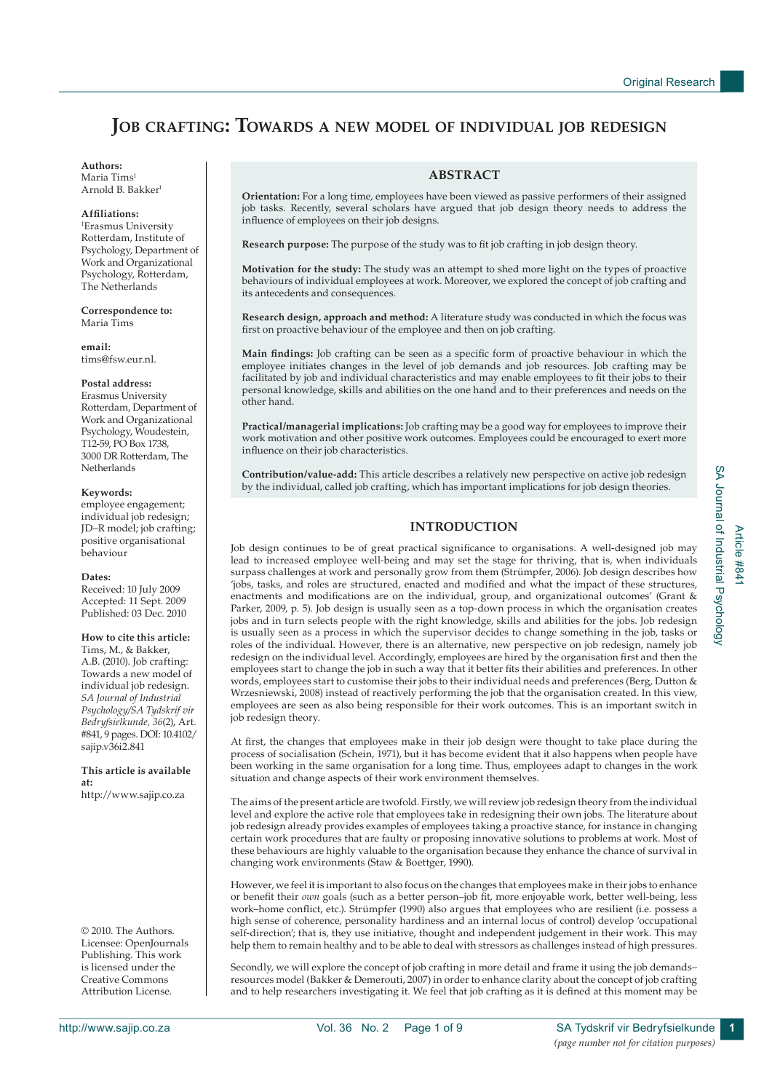# **Job crafting: towards a new model of individual Job redesign**

**Authors:**  Maria Tims1 Arnold B. Bakker<sup>1</sup>

# **Affliations:**

1 Erasmus University Rotterdam, Institute of Psychology, Department of Work and Organizational Psychology, Rotterdam, The Netherlands

**Correspondence to:** Maria Tims

**email:** tims@fsw.eur.nl.

# **Postal address:**

Erasmus University Rotterdam, Department of Work and Organizational Psychology, Woudestein, T12-59, PO Box 1738, 3000 DR Rotterdam, The Netherlands

#### **Keywords:**

employee engagement; individual job redesign; JD–R model; job crafting; positive organisational behaviour

#### **Dates:**

Received: 10 July 2009 Accepted: 11 Sept. 2009 Published: 03 Dec. 2010

# **How to cite this article:**

Tims, M., & Bakker, A.B. (2010). Job crafting: Towards a new model of individual job redesign. *SA Journal of Industrial Psychology/SA Tydskrif vir Bedryfsielkunde, 36*(2), Art. #841, 9 pages. DOI: 10.4102/ sajip.v36i2.841

**This article is available at:**

http://www.sajip.co.za

© 2010. The Authors. Licensee: OpenJournals Publishing. This work is licensed under the Creative Commons Attribution License.

# **ABSTRACT**

**Orientation:** For a long time, employees have been viewed as passive performers of their assigned job tasks. Recently, several scholars have argued that job design theory needs to address the infuence of employees on their job designs.

Research purpose: The purpose of the study was to fit job crafting in job design theory.

**Motivation for the study:** The study was an attempt to shed more light on the types of proactive behaviours of individual employees at work. Moreover, we explored the concept of job crafting and its antecedents and consequences.

**Research design, approach and method:** A literature study was conducted in which the focus was first on proactive behaviour of the employee and then on job crafting.

**Main fndings:** Job crafting can be seen as a specifc form of proactive behaviour in which the employee initiates changes in the level of job demands and job resources. Job crafting may be facilitated by job and individual characteristics and may enable employees to ft their jobs to their personal knowledge, skills and abilities on the one hand and to their preferences and needs on the other hand.

**Practical/managerial implications:** Job crafting may be a good way for employees to improve their work motivation and other positive work outcomes. Employees could be encouraged to exert more infuence on their job characteristics.

**Contribution/value-add:** This article describes a relatively new perspective on active job redesign by the individual, called job crafting, which has important implications for job design theories.

# **INTRODUCTION**

Job design continues to be of great practical signifcance to organisations. A well-designed job may lead to increased employee well-being and may set the stage for thriving, that is, when individuals surpass challenges at work and personally grow from them (Strümpfer, 2006). Job design describes how 'jobs, tasks, and roles are structured, enacted and modifed and what the impact of these structures, enactments and modifcations are on the individual, group, and organizational outcomes' (Grant & Parker, 2009, p. 5). Job design is usually seen as a top-down process in which the organisation creates jobs and in turn selects people with the right knowledge, skills and abilities for the jobs. Job redesign is usually seen as a process in which the supervisor decides to change something in the job, tasks or roles of the individual. However, there is an alternative, new perspective on job redesign, namely job redesign on the individual level. Accordingly, employees are hired by the organisation frst and then the employees start to change the job in such a way that it better fts their abilities and preferences. In other words, employees start to customise their jobs to their individual needs and preferences (Berg, Dutton & Wrzesniewski, 2008) instead of reactively performing the job that the organisation created. In this view, employees are seen as also being responsible for their work outcomes. This is an important switch in job redesign theory.

At first, the changes that employees make in their job design were thought to take place during the process of socialisation (Schein, 1971), but it has become evident that it also happens when people have been working in the same organisation for a long time. Thus, employees adapt to changes in the work situation and change aspects of their work environment themselves.

The aims of the present article are twofold. Firstly, we will review job redesign theory from the individual level and explore the active role that employees take in redesigning their own jobs. The literature about job redesign already provides examples of employees taking a proactive stance, for instance in changing certain work procedures that are faulty or proposing innovative solutions to problems at work. Most of these behaviours are highly valuable to the organisation because they enhance the chance of survival in changing work environments (Staw & Boettger, 1990).

However, we feel it is important to also focus on the changes that employees make in their jobs to enhance or benefit their *own* goals (such as a better person-job fit, more enjoyable work, better well-being, less work–home confict, etc.). Strümpfer (1990) also argues that employees who are resilient (i.e. possess a high sense of coherence, personality hardiness and an internal locus of control) develop 'occupational self-direction'; that is, they use initiative, thought and independent judgement in their work. This may help them to remain healthy and to be able to deal with stressors as challenges instead of high pressures.

Secondly, we will explore the concept of job crafting in more detail and frame it using the job demands– resources model (Bakker & Demerouti, 2007) in order to enhance clarity about the concept of job crafting and to help researchers investigating it. We feel that job crafting as it is defned at this moment may be

**1**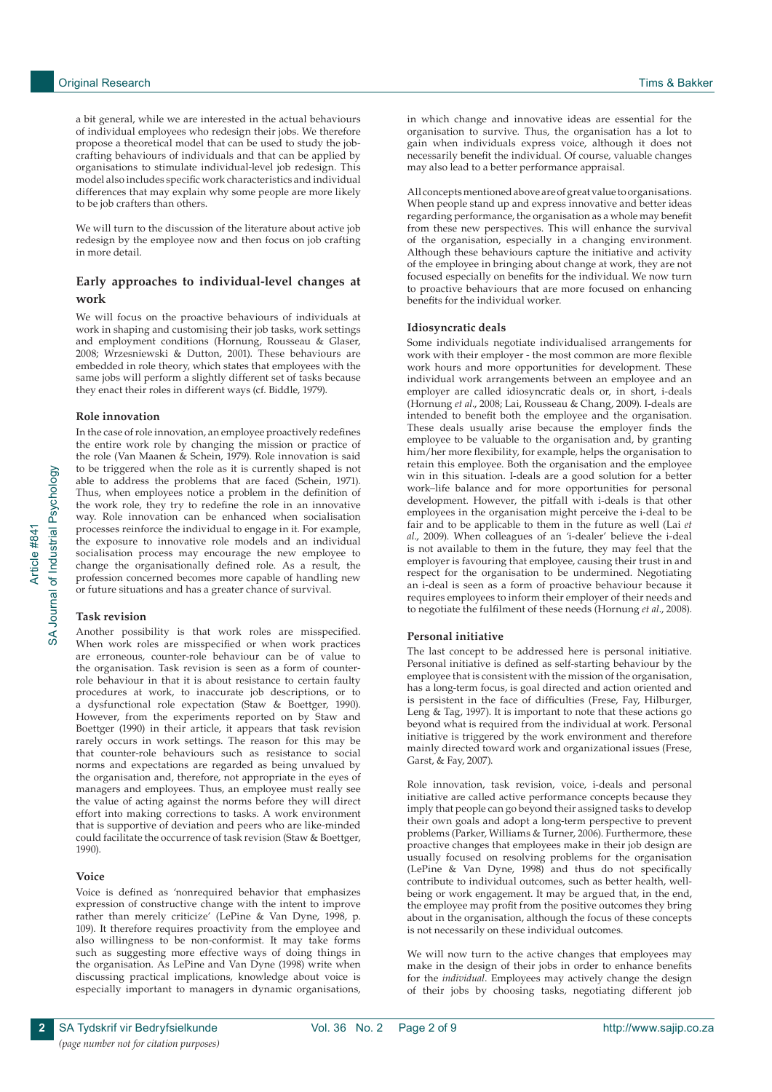a bit general, while we are interested in the actual behaviours of individual employees who redesign their jobs. We therefore propose a theoretical model that can be used to study the jobcrafting behaviours of individuals and that can be applied by organisations to stimulate individual-level job redesign. This model also includes specifc work characteristics and individual differences that may explain why some people are more likely to be job crafters than others.

We will turn to the discussion of the literature about active job redesign by the employee now and then focus on job crafting in more detail.

# **Early approaches to individual-level changes at work**

We will focus on the proactive behaviours of individuals at work in shaping and customising their job tasks, work settings and employment conditions (Hornung, Rousseau & Glaser, 2008; Wrzesniewski & Dutton, 2001). These behaviours are embedded in role theory, which states that employees with the same jobs will perform a slightly different set of tasks because they enact their roles in different ways (cf. Biddle, 1979).

### **Role innovation**

In the case of role innovation, an employee proactively redefnes the entire work role by changing the mission or practice of the role (Van Maanen & Schein, 1979). Role innovation is said to be triggered when the role as it is currently shaped is not able to address the problems that are faced (Schein, 1971). Thus, when employees notice a problem in the defnition of the work role, they try to redefne the role in an innovative way. Role innovation can be enhanced when socialisation processes reinforce the individual to engage in it. For example, the exposure to innovative role models and an individual socialisation process may encourage the new employee to change the organisationally defned role. As a result, the profession concerned becomes more capable of handling new or future situations and has a greater chance of survival.

#### **Task revision**

Another possibility is that work roles are misspecifed. When work roles are misspecified or when work practices are erroneous, counter-role behaviour can be of value to the organisation. Task revision is seen as a form of counterrole behaviour in that it is about resistance to certain faulty procedures at work, to inaccurate job descriptions, or to a dysfunctional role expectation (Staw & Boettger, 1990). However, from the experiments reported on by Staw and Boettger (1990) in their article, it appears that task revision rarely occurs in work settings. The reason for this may be that counter-role behaviours such as resistance to social norms and expectations are regarded as being unvalued by the organisation and, therefore, not appropriate in the eyes of managers and employees. Thus, an employee must really see the value of acting against the norms before they will direct effort into making corrections to tasks. A work environment that is supportive of deviation and peers who are like-minded could facilitate the occurrence of task revision (Staw & Boettger, 1990).

#### **Voice**

Voice is defned as 'nonrequired behavior that emphasizes expression of constructive change with the intent to improve rather than merely criticize' (LePine & Van Dyne, 1998, p. 109). It therefore requires proactivity from the employee and also willingness to be non-conformist. It may take forms such as suggesting more effective ways of doing things in the organisation. As LePine and Van Dyne (1998) write when discussing practical implications, knowledge about voice is especially important to managers in dynamic organisations, in which change and innovative ideas are essential for the organisation to survive. Thus, the organisation has a lot to gain when individuals express voice, although it does not necessarily beneft the individual. Of course, valuable changes may also lead to a better performance appraisal.

All concepts mentioned above are of great value to organisations. When people stand up and express innovative and better ideas regarding performance, the organisation as a whole may beneft from these new perspectives. This will enhance the survival of the organisation, especially in a changing environment. Although these behaviours capture the initiative and activity of the employee in bringing about change at work, they are not focused especially on benefts for the individual. We now turn to proactive behaviours that are more focused on enhancing benefts for the individual worker.

#### **Idiosyncratic deals**

Some individuals negotiate individualised arrangements for work with their employer - the most common are more fexible work hours and more opportunities for development. These individual work arrangements between an employee and an employer are called idiosyncratic deals or, in short, i-deals (Hornung *et al*., 2008; Lai, Rousseau & Chang, 2009). I-deals are intended to beneft both the employee and the organisation. These deals usually arise because the employer finds the employee to be valuable to the organisation and, by granting him/her more fexibility, for example, helps the organisation to retain this employee. Both the organisation and the employee win in this situation. I-deals are a good solution for a better work–life balance and for more opportunities for personal development. However, the pitfall with i-deals is that other employees in the organisation might perceive the i-deal to be fair and to be applicable to them in the future as well (Lai *et al*., 2009). When colleagues of an 'i-dealer' believe the i-deal is not available to them in the future, they may feel that the employer is favouring that employee, causing their trust in and respect for the organisation to be undermined. Negotiating an i-deal is seen as a form of proactive behaviour because it requires employees to inform their employer of their needs and to negotiate the fulflment of these needs (Hornung *et al*., 2008).

### **Personal initiative**

The last concept to be addressed here is personal initiative. Personal initiative is defned as self-starting behaviour by the employee that is consistent with the mission of the organisation, has a long-term focus, is goal directed and action oriented and is persistent in the face of difficulties (Frese, Fay, Hilburger, Leng & Tag, 1997). It is important to note that these actions go beyond what is required from the individual at work. Personal initiative is triggered by the work environment and therefore mainly directed toward work and organizational issues (Frese, Garst, & Fay, 2007).

Role innovation, task revision, voice, i-deals and personal initiative are called active performance concepts because they imply that people can go beyond their assigned tasks to develop their own goals and adopt a long-term perspective to prevent problems (Parker, Williams & Turner, 2006). Furthermore, these proactive changes that employees make in their job design are usually focused on resolving problems for the organisation (LePine & Van Dyne, 1998) and thus do not specifcally contribute to individual outcomes, such as better health, wellbeing or work engagement. It may be argued that, in the end, the employee may proft from the positive outcomes they bring about in the organisation, although the focus of these concepts is not necessarily on these individual outcomes.

We will now turn to the active changes that employees may make in the design of their jobs in order to enhance benefts for the *individual*. Employees may actively change the design of their jobs by choosing tasks, negotiating different job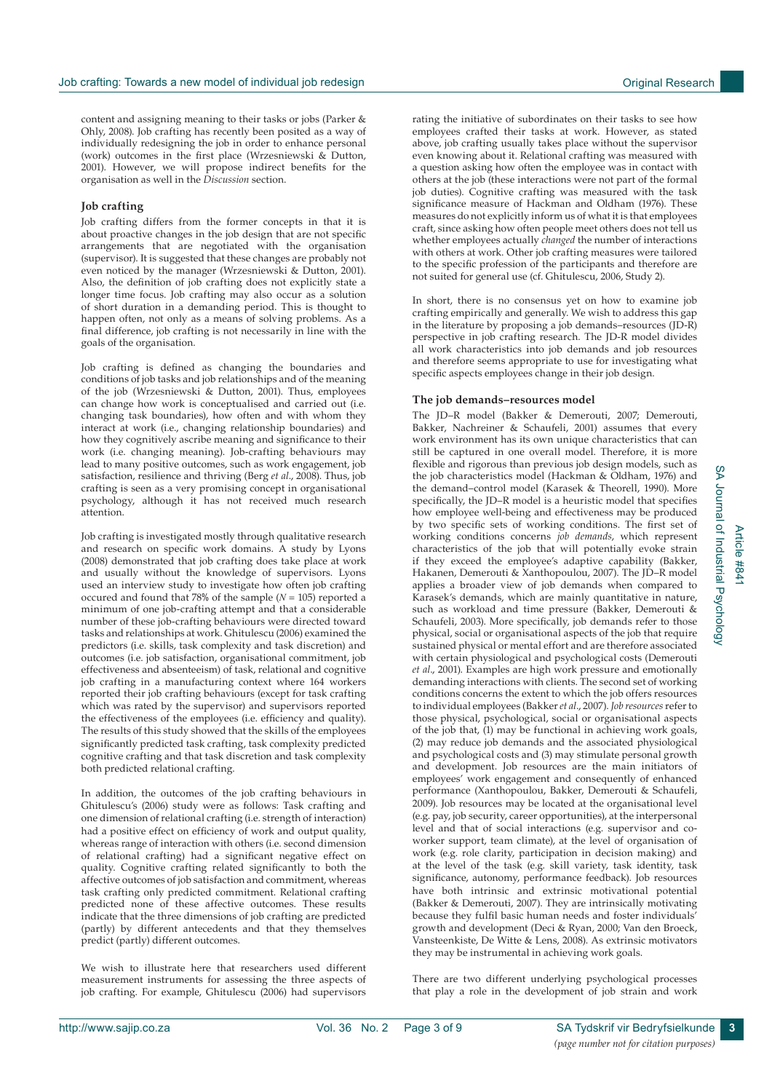content and assigning meaning to their tasks or jobs (Parker & Ohly, 2008). Job crafting has recently been posited as a way of individually redesigning the job in order to enhance personal (work) outcomes in the frst place (Wrzesniewski & Dutton, 2001). However, we will propose indirect benefts for the organisation as well in the *Discussion* section.

# **Job crafting**

Job crafting differs from the former concepts in that it is about proactive changes in the job design that are not specifc arrangements that are negotiated with the organisation (supervisor). It is suggested that these changes are probably not even noticed by the manager (Wrzesniewski & Dutton, 2001). Also, the defnition of job crafting does not explicitly state a longer time focus. Job crafting may also occur as a solution of short duration in a demanding period. This is thought to happen often, not only as a means of solving problems. As a fnal difference, job crafting is not necessarily in line with the goals of the organisation.

Job crafting is defned as changing the boundaries and conditions of job tasks and job relationships and of the meaning of the job (Wrzesniewski & Dutton, 2001). Thus, employees can change how work is conceptualised and carried out (i.e. changing task boundaries), how often and with whom they interact at work (i.e., changing relationship boundaries) and how they cognitively ascribe meaning and significance to their work (i.e. changing meaning). Job-crafting behaviours may lead to many positive outcomes, such as work engagement, job satisfaction, resilience and thriving (Berg *et al*., 2008). Thus, job crafting is seen as a very promising concept in organisational psychology, although it has not received much research attention.

Job crafting is investigated mostly through qualitative research and research on specific work domains. A study by Lyons (2008) demonstrated that job crafting does take place at work and usually without the knowledge of supervisors. Lyons used an interview study to investigate how often job crafting occured and found that 78% of the sample (*N* = 105) reported a minimum of one job-crafting attempt and that a considerable number of these job-crafting behaviours were directed toward tasks and relationships at work. Ghitulescu (2006) examined the predictors (i.e. skills, task complexity and task discretion) and outcomes (i.e. job satisfaction, organisational commitment, job effectiveness and absenteeism) of task, relational and cognitive job crafting in a manufacturing context where 164 workers reported their job crafting behaviours (except for task crafting which was rated by the supervisor) and supervisors reported the effectiveness of the employees (i.e. efficiency and quality). The results of this study showed that the skills of the employees signifcantly predicted task crafting, task complexity predicted cognitive crafting and that task discretion and task complexity both predicted relational crafting.

In addition, the outcomes of the job crafting behaviours in Ghitulescu's (2006) study were as follows: Task crafting and one dimension of relational crafting (i.e. strength of interaction) had a positive effect on efficiency of work and output quality, whereas range of interaction with others (i.e. second dimension of relational crafting) had a significant negative effect on quality. Cognitive crafting related significantly to both the affective outcomes of job satisfaction and commitment, whereas task crafting only predicted commitment. Relational crafting predicted none of these affective outcomes. These results indicate that the three dimensions of job crafting are predicted (partly) by different antecedents and that they themselves predict (partly) different outcomes.

We wish to illustrate here that researchers used different measurement instruments for assessing the three aspects of job crafting. For example, Ghitulescu (2006) had supervisors

rating the initiative of subordinates on their tasks to see how employees crafted their tasks at work. However, as stated above, job crafting usually takes place without the supervisor even knowing about it. Relational crafting was measured with a question asking how often the employee was in contact with others at the job (these interactions were not part of the formal job duties). Cognitive crafting was measured with the task significance measure of Hackman and Oldham (1976). These measures do not explicitly inform us of what it is that employees craft, since asking how often people meet others does not tell us whether employees actually *changed* the number of interactions with others at work. Other job crafting measures were tailored to the specifc profession of the participants and therefore are not suited for general use (cf. Ghitulescu, 2006, Study 2).

In short, there is no consensus yet on how to examine job crafting empirically and generally. We wish to address this gap in the literature by proposing a job demands–resources (JD-R) perspective in job crafting research. The JD-R model divides all work characteristics into job demands and job resources and therefore seems appropriate to use for investigating what specific aspects employees change in their job design.

#### **The job demands–resources model**

satisfaction, respire and the properties of the policies of the policies of the sychology of the sychology in the sychology in the sychology in the sychology in the sychology in the sychology and  $\mu$  and  $\mu$  and  $\mu$  an The JD–R model (Bakker & Demerouti, 2007; Demerouti, Bakker, Nachreiner & Schaufeli, 2001) assumes that every work environment has its own unique characteristics that can still be captured in one overall model. Therefore, it is more fexible and rigorous than previous job design models, such as the job characteristics model (Hackman & Oldham, 1976) and the demand–control model (Karasek & Theorell, 1990). More specifically, the JD-R model is a heuristic model that specifies how employee well-being and effectiveness may be produced by two specific sets of working conditions. The first set of working conditions concerns *job demands*, which represent characteristics of the job that will potentially evoke strain if they exceed the employee's adaptive capability (Bakker, Hakanen, Demerouti & Xanthopoulou, 2007). The JD–R model applies a broader view of job demands when compared to Karasek's demands, which are mainly quantitative in nature, such as workload and time pressure (Bakker, Demerouti & Schaufeli, 2003). More specifically, job demands refer to those physical, social or organisational aspects of the job that require sustained physical or mental effort and are therefore associated with certain physiological and psychological costs (Demerouti *et al*., 2001). Examples are high work pressure and emotionally demanding interactions with clients. The second set of working conditions concerns the extent to which the job offers resources to individual employees (Bakker *et al*., 2007). *Job resources* refer to those physical, psychological, social or organisational aspects of the job that, (1) may be functional in achieving work goals, (2) may reduce job demands and the associated physiological and psychological costs and (3) may stimulate personal growth and development. Job resources are the main initiators of employees' work engagement and consequently of enhanced performance (Xanthopoulou, Bakker, Demerouti & Schaufeli, 2009). Job resources may be located at the organisational level (e.g. pay, job security, career opportunities), at the interpersonal level and that of social interactions (e.g. supervisor and coworker support, team climate), at the level of organisation of work (e.g. role clarity, participation in decision making) and at the level of the task (e.g. skill variety, task identity, task significance, autonomy, performance feedback). Job resources have both intrinsic and extrinsic motivational potential (Bakker & Demerouti, 2007). They are intrinsically motivating because they fulfl basic human needs and foster individuals' growth and development (Deci & Ryan, 2000; Van den Broeck, Vansteenkiste, De Witte & Lens, 2008). As extrinsic motivators they may be instrumental in achieving work goals.

There are two different underlying psychological processes that play a role in the development of job strain and work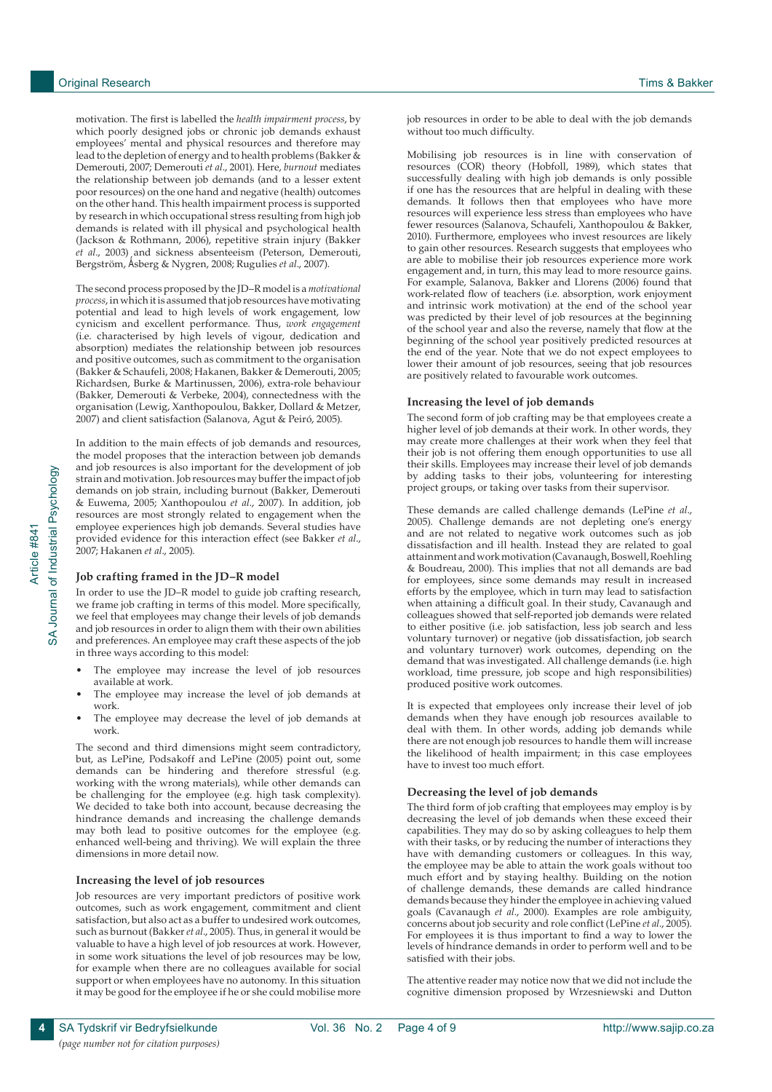motivation. The frst is labelled the *health impairment process*, by which poorly designed jobs or chronic job demands exhaust employees' mental and physical resources and therefore may lead to the depletion of energy and to health problems (Bakker & Demerouti, 2007; Demerouti *et al*., 2001). Here, *burnout* mediates the relationship between job demands (and to a lesser extent poor resources) on the one hand and negative (health) outcomes on the other hand. This health impairment process is supported by research in which occupational stress resulting from high job demands is related with ill physical and psychological health (Jackson & Rothmann, 2006), repetitive strain injury (Bakker *et al*., 2003) and sickness absenteeism (Peterson, Demerouti, Bergström, Åsberg & Nygren, 2008; Rugulies *et al.*, 2007).

The second process proposed by the JD–R model is a *motivational process*, in which it is assumed that job resources have motivating potential and lead to high levels of work engagement, low cynicism and excellent performance. Thus, *work engagement* (i.e. characterised by high levels of vigour, dedication and absorption) mediates the relationship between job resources and positive outcomes, such as commitment to the organisation (Bakker & Schaufeli, 2008; Hakanen, Bakker & Demerouti, 2005; Richardsen, Burke & Martinussen, 2006), extra-role behaviour (Bakker, Demerouti & Verbeke, 2004), connectedness with the organisation (Lewig, Xanthopoulou, Bakker, Dollard & Metzer, 2007) and client satisfaction (Salanova, Agut & Peiró, 2005).

In addition to the main effects of job demands and resources, the model proposes that the interaction between job demands and job resources is also important for the development of job strain and motivation. Job resources may buffer the impact of job demands on job strain, including burnout (Bakker, Demerouti & Euwema, 2005; Xanthopoulou *et al*., 2007). In addition, job resources are most strongly related to engagement when the employee experiences high job demands. Several studies have provided evidence for this interaction effect (see Bakker *et al*., 2007; Hakanen *et al*., 2005).

# **Job crafting framed in the JD–R model**

In order to use the JD–R model to guide job crafting research, we frame job crafting in terms of this model. More specifcally, we feel that employees may change their levels of job demands and job resources in order to align them with their own abilities and preferences. An employee may craft these aspects of the job in three ways according to this model:

- The employee may increase the level of job resources available at work.
- The employee may increase the level of job demands at work.
- The employee may decrease the level of job demands at work.

The second and third dimensions might seem contradictory, but, as LePine, Podsakoff and LePine (2005) point out, some demands can be hindering and therefore stressful (e.g. working with the wrong materials), while other demands can be challenging for the employee (e.g. high task complexity). We decided to take both into account, because decreasing the hindrance demands and increasing the challenge demands may both lead to positive outcomes for the employee (e.g. enhanced well-being and thriving). We will explain the three dimensions in more detail now.

# **Increasing the level of job resources**

Job resources are very important predictors of positive work outcomes, such as work engagement, commitment and client satisfaction, but also act as a buffer to undesired work outcomes, such as burnout (Bakker *et al*., 2005). Thus, in general it would be valuable to have a high level of job resources at work. However, in some work situations the level of job resources may be low, for example when there are no colleagues available for social support or when employees have no autonomy. In this situation it may be good for the employee if he or she could mobilise more job resources in order to be able to deal with the job demands without too much difficulty.

Mobilising job resources is in line with conservation of resources (COR) theory (Hobfoll, 1989), which states that successfully dealing with high job demands is only possible if one has the resources that are helpful in dealing with these demands. It follows then that employees who have more resources will experience less stress than employees who have fewer resources (Salanova, Schaufeli, Xanthopoulou & Bakker, 2010). Furthermore, employees who invest resources are likely to gain other resources. Research suggests that employees who are able to mobilise their job resources experience more work engagement and, in turn, this may lead to more resource gains. For example, Salanova, Bakker and Llorens (2006) found that work-related fow of teachers (i.e. absorption, work enjoyment and intrinsic work motivation) at the end of the school year was predicted by their level of job resources at the beginning of the school year and also the reverse, namely that fow at the beginning of the school year positively predicted resources at the end of the year. Note that we do not expect employees to lower their amount of job resources, seeing that job resources are positively related to favourable work outcomes.

#### **Increasing the level of job demands**

The second form of job crafting may be that employees create a higher level of job demands at their work. In other words, they may create more challenges at their work when they feel that their job is not offering them enough opportunities to use all their skills. Employees may increase their level of job demands by adding tasks to their jobs, volunteering for interesting project groups, or taking over tasks from their supervisor.

These demands are called challenge demands (LePine *et al*., 2005). Challenge demands are not depleting one's energy and are not related to negative work outcomes such as job dissatisfaction and ill health. Instead they are related to goal attainment and work motivation (Cavanaugh, Boswell, Roehling & Boudreau, 2000). This implies that not all demands are bad for employees, since some demands may result in increased efforts by the employee, which in turn may lead to satisfaction when attaining a difficult goal. In their study, Cavanaugh and colleagues showed that self-reported job demands were related to either positive (i.e. job satisfaction, less job search and less voluntary turnover) or negative (job dissatisfaction, job search and voluntary turnover) work outcomes, depending on the demand that was investigated. All challenge demands (i.e. high workload, time pressure, job scope and high responsibilities) produced positive work outcomes.

It is expected that employees only increase their level of job demands when they have enough job resources available to deal with them. In other words, adding job demands while there are not enough job resources to handle them will increase the likelihood of health impairment; in this case employees have to invest too much effort.

#### **Decreasing the level of job demands**

The third form of job crafting that employees may employ is by decreasing the level of job demands when these exceed their capabilities. They may do so by asking colleagues to help them with their tasks, or by reducing the number of interactions they have with demanding customers or colleagues. In this way, the employee may be able to attain the work goals without too much effort and by staying healthy. Building on the notion of challenge demands, these demands are called hindrance demands because they hinder the employee in achieving valued goals (Cavanaugh *et al*., 2000). Examples are role ambiguity, concerns about job security and role confict (LePine *et al*., 2005). For employees it is thus important to fnd a way to lower the levels of hindrance demands in order to perform well and to be satisfed with their jobs.

The attentive reader may notice now that we did not include the cognitive dimension proposed by Wrzesniewski and Dutton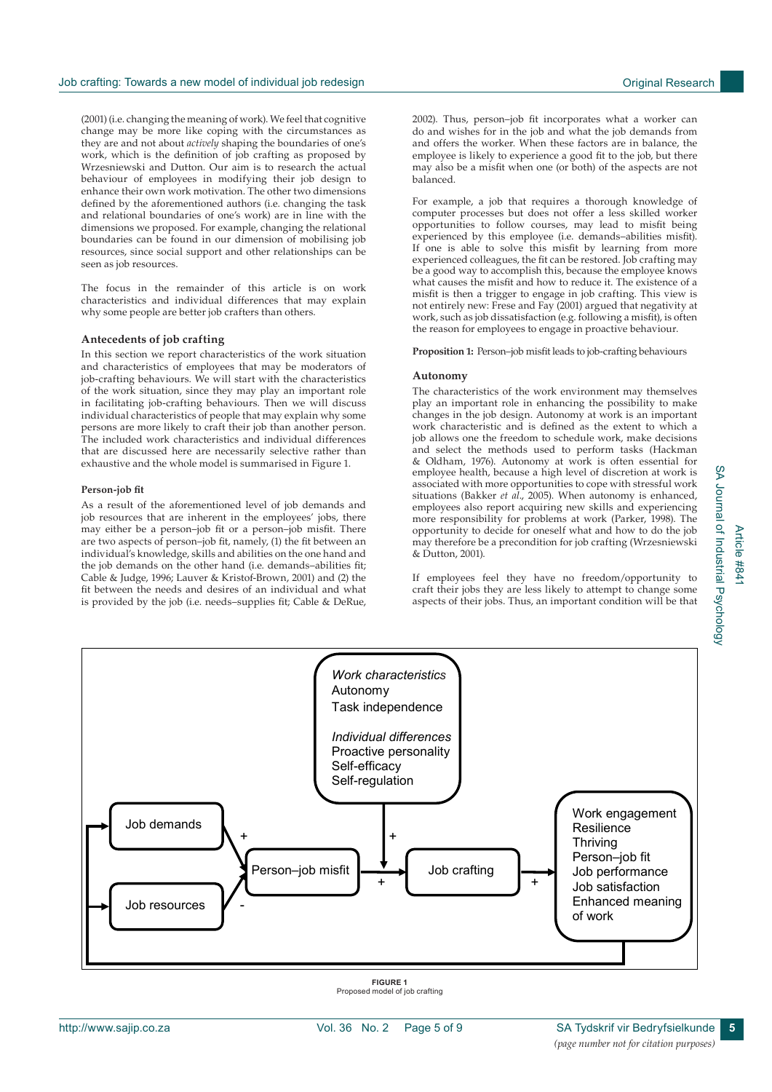(2001) (i.e. changing the meaning of work). We feel that cognitive change may be more like coping with the circumstances as they are and not about *actively* shaping the boundaries of one's work, which is the defnition of job crafting as proposed by Wrzesniewski and Dutton. Our aim is to research the actual behaviour of employees in modifying their job design to enhance their own work motivation. The other two dimensions defined by the aforementioned authors (i.e. changing the task and relational boundaries of one's work) are in line with the dimensions we proposed. For example, changing the relational boundaries can be found in our dimension of mobilising job resources, since social support and other relationships can be seen as job resources.

The focus in the remainder of this article is on work characteristics and individual differences that may explain why some people are better job crafters than others.

# **Antecedents of job crafting**

In this section we report characteristics of the work situation and characteristics of employees that may be moderators of job-crafting behaviours. We will start with the characteristics of the work situation, since they may play an important role in facilitating job-crafting behaviours. Then we will discuss individual characteristics of people that may explain why some persons are more likely to craft their job than another person. The included work characteristics and individual differences that are discussed here are necessarily selective rather than exhaustive and the whole model is summarised in Figure 1.

#### **Person-job ft**

As a result of the aforementioned level of job demands and job resources that are inherent in the employees' jobs, there may either be a person-job fit or a person-job misfit. There are two aspects of person–job fit, namely, (1) the fit between an individual's knowledge skills and abilities on the one hand and individual's knowledge, skills and abilities on the one hand and the job demands on the other hand (i.e. demands–abilities ft; the job demands on the other hand (i.e. demands-abilities ht;<br>Cable & Judge, 1996; Lauver & Kristof-Brown, 2001) and (2) the The employees fit between the needs and desires of an individual and what is provided by the job (i.e. needs–supplies ft; Cable & DeRue,

2002). Thus, person-job fit incorporates what a worker can do and wishes for in the job and what the job demands from and offers the worker. When these factors are in balance, the employee is likely to experience a good fit to the job, but there may also be a misft when one (or both) of the aspects are not balanced.

For example, a job that requires a thorough knowledge of computer processes but does not offer a less skilled worker opportunities to follow courses, may lead to misft being experienced by this employee (i.e. demands–abilities misft). If one is able to solve this misft by learning from more experienced colleagues, the fit can be restored. Job crafting may be a good way to accomplish this, because the employee knows what causes the misft and how to reduce it. The existence of a misft is then a trigger to engage in job crafting. This view is not entirely new: Frese and Fay (2001) argued that negativity at work, such as job dissatisfaction (e.g. following a misft), is often the reason for employees to engage in proactive behaviour.

**Proposition 1:** Person–job misft leads to job-crafting behaviours

#### **Autonomy**

The characteristics of the work environment may themselves play an important role in enhancing the possibility to make changes in the job design. Autonomy at work is an important work characteristic and is defned as the extent to which a job allows one the freedom to schedule work, make decisions and select the methods used to perform tasks (Hackman & Oldham, 1976). Autonomy at work is often essential for employee health, because a high level of discretion at work is associated with more opportunities to cope with stressful work situations (Bakker *et al*., 2005). When autonomy is enhanced, employees also report acquiring new skills and experiencing more responsibility for problems at work (Parker, 1998). The opportunity to decide for oneself what and how to do the job may therefore be a precondition for job crafting (Wrzesniewski & Dutton, 2001).

If employees feel they have no freedom/opportunity to craft their jobs they are less likely to attempt to change some aspects of their jobs. Thus, an important condition will be that



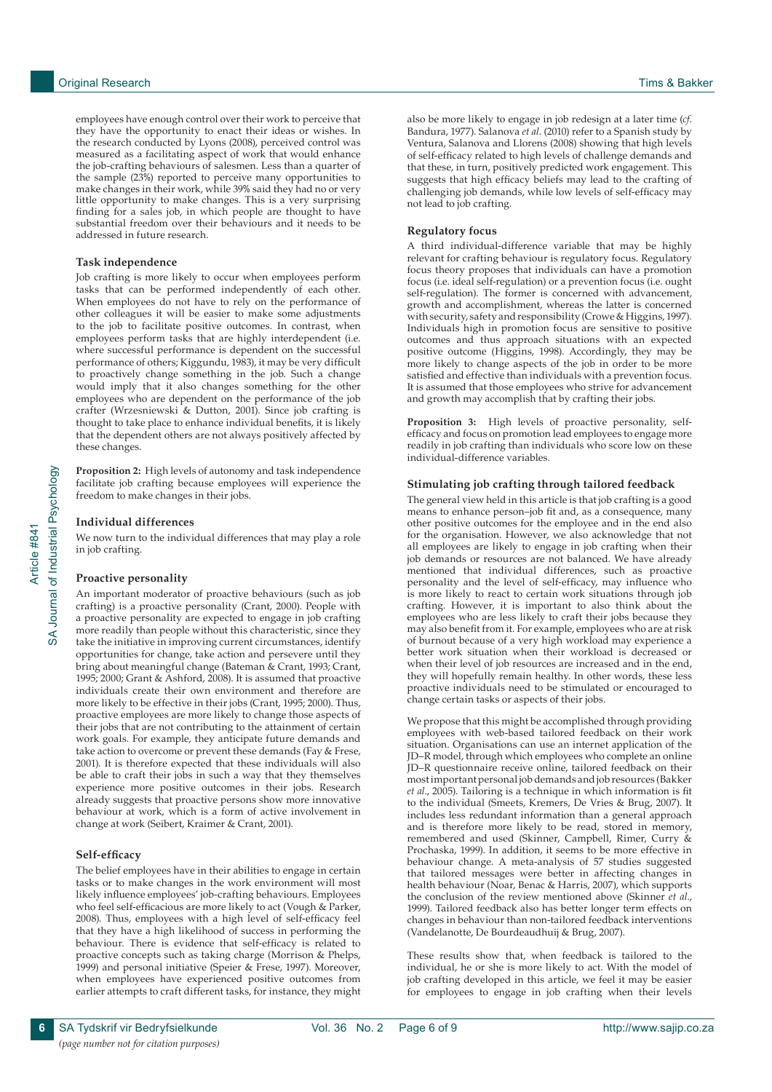employees have enough control over their work to perceive that they have the opportunity to enact their ideas or wishes. In the research conducted by Lyons (2008), perceived control was measured as a facilitating aspect of work that would enhance the job-crafting behaviours of salesmen. Less than a quarter of the sample (23%) reported to perceive many opportunities to make changes in their work, while 39% said they had no or very little opportunity to make changes. This is a very surprising fnding for a sales job, in which people are thought to have substantial freedom over their behaviours and it needs to be addressed in future research.

### **Task independence**

Job crafting is more likely to occur when employees perform tasks that can be performed independently of each other. When employees do not have to rely on the performance of other colleagues it will be easier to make some adjustments to the job to facilitate positive outcomes. In contrast, when employees perform tasks that are highly interdependent (i.e. where successful performance is dependent on the successful performance of others; Kiggundu, 1983), it may be very difficult to proactively change something in the job. Such a change would imply that it also changes something for the other employees who are dependent on the performance of the job crafter (Wrzesniewski & Dutton, 2001). Since job crafting is thought to take place to enhance individual benefits, it is likely that the dependent others are not always positively affected by these changes.

**Proposition 2:** High levels of autonomy and task independence facilitate job crafting because employees will experience the freedom to make changes in their jobs.

#### **Individual differences**

We now turn to the individual differences that may play a role in job crafting.

#### **Proactive personality**

An important moderator of proactive behaviours (such as job crafting) is a proactive personality (Crant, 2000). People with a proactive personality are expected to engage in job crafting more readily than people without this characteristic, since they take the initiative in improving current circumstances, identify opportunities for change, take action and persevere until they bring about meaningful change (Bateman & Crant, 1993; Crant, 1995; 2000; Grant & Ashford, 2008). It is assumed that proactive individuals create their own environment and therefore are more likely to be effective in their jobs (Crant, 1995; 2000). Thus, proactive employees are more likely to change those aspects of their jobs that are not contributing to the attainment of certain work goals. For example, they anticipate future demands and take action to overcome or prevent these demands (Fay & Frese, 2001). It is therefore expected that these individuals will also be able to craft their jobs in such a way that they themselves experience more positive outcomes in their jobs. Research already suggests that proactive persons show more innovative behaviour at work, which is a form of active involvement in change at work (Seibert, Kraimer & Crant, 2001).

# **Self-effcacy**

The belief employees have in their abilities to engage in certain tasks or to make changes in the work environment will most likely infuence employees' job-crafting behaviours. Employees who feel self-efficacious are more likely to act (Vough & Parker, 2008). Thus, employees with a high level of self-efficacy feel that they have a high likelihood of success in performing the behaviour. There is evidence that self-efficacy is related to proactive concepts such as taking charge (Morrison & Phelps, 1999) and personal initiative (Speier & Frese, 1997). Moreover, when employees have experienced positive outcomes from earlier attempts to craft different tasks, for instance, they might also be more likely to engage in job redesign at a later time (*cf*. Bandura, 1977). Salanova *et al*. (2010) refer to a Spanish study by Ventura, Salanova and Llorens (2008) showing that high levels of self-efficacy related to high levels of challenge demands and that these, in turn, positively predicted work engagement. This suggests that high efficacy beliefs may lead to the crafting of challenging job demands, while low levels of self-efficacy may not lead to job crafting.

#### **Regulatory focus**

A third individual-difference variable that may be highly relevant for crafting behaviour is regulatory focus. Regulatory focus theory proposes that individuals can have a promotion focus (i.e. ideal self-regulation) or a prevention focus (i.e. ought self-regulation). The former is concerned with advancement, growth and accomplishment, whereas the latter is concerned with security, safety and responsibility (Crowe & Higgins, 1997). Individuals high in promotion focus are sensitive to positive outcomes and thus approach situations with an expected positive outcome (Higgins, 1998). Accordingly, they may be more likely to change aspects of the job in order to be more satisfed and effective than individuals with a prevention focus. It is assumed that those employees who strive for advancement and growth may accomplish that by crafting their jobs.

**Proposition 3:** High levels of proactive personality, selfefficacy and focus on promotion lead employees to engage more readily in job crafting than individuals who score low on these individual-difference variables.

# **Stimulating job crafting through tailored feedback**

The general view held in this article is that job crafting is a good means to enhance person-job fit and, as a consequence, many other positive outcomes for the employee and in the end also for the organisation. However, we also acknowledge that not all employees are likely to engage in job crafting when their job demands or resources are not balanced. We have already mentioned that individual differences, such as proactive personality and the level of self-efficacy, may influence who is more likely to react to certain work situations through job crafting. However, it is important to also think about the employees who are less likely to craft their jobs because they may also benefit from it. For example, employees who are at risk of burnout because of a very high workload may experience a better work situation when their workload is decreased or when their level of job resources are increased and in the end, they will hopefully remain healthy. In other words, these less proactive individuals need to be stimulated or encouraged to change certain tasks or aspects of their jobs.

We propose that this might be accomplished through providing employees with web-based tailored feedback on their work situation. Organisations can use an internet application of the JD–R model, through which employees who complete an online JD–R questionnaire receive online, tailored feedback on their most important personal job demands and job resources (Bakker *et al*., 2005). Tailoring is a technique in which information is ft to the individual (Smeets, Kremers, De Vries & Brug, 2007). It includes less redundant information than a general approach and is therefore more likely to be read, stored in memory, remembered and used (Skinner, Campbell, Rimer, Curry & Prochaska, 1999). In addition, it seems to be more effective in behaviour change. A meta-analysis of 57 studies suggested that tailored messages were better in affecting changes in health behaviour (Noar, Benac & Harris, 2007), which supports the conclusion of the review mentioned above (Skinner *et al*., 1999). Tailored feedback also has better longer term effects on changes in behaviour than non-tailored feedback interventions (Vandelanotte, De Bourdeaudhuij & Brug, 2007).

These results show that, when feedback is tailored to the individual, he or she is more likely to act. With the model of job crafting developed in this article, we feel it may be easier for employees to engage in job crafting when their levels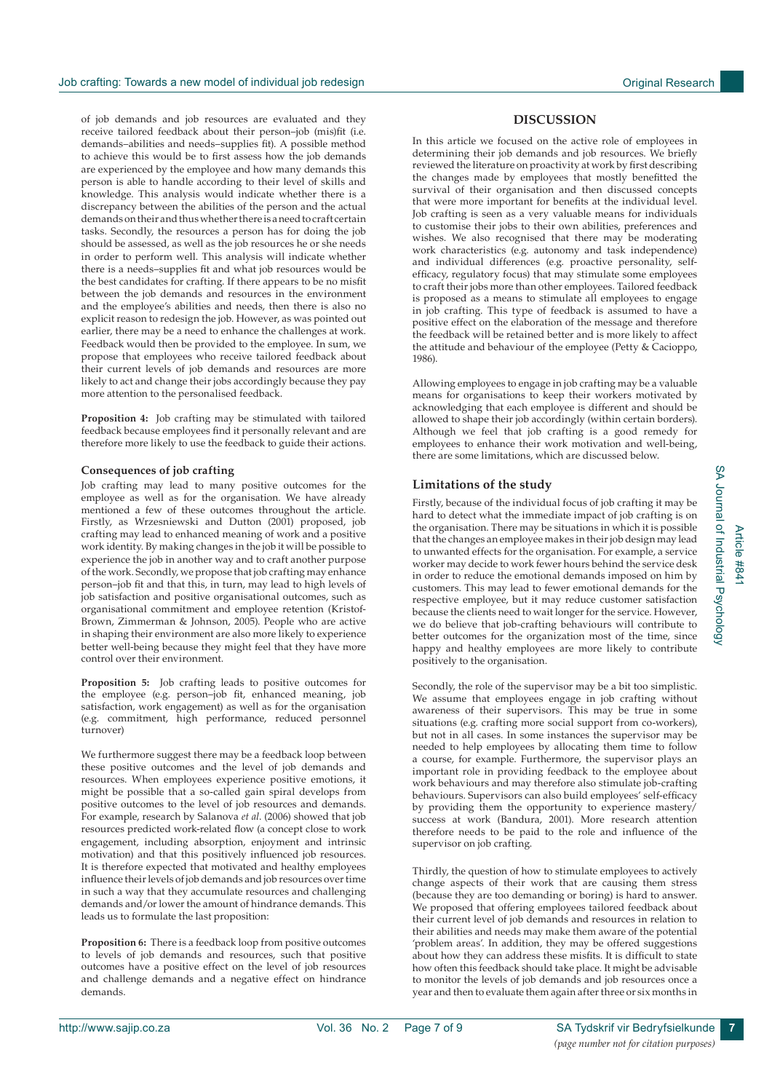of job demands and job resources are evaluated and they receive tailored feedback about their person-job (mis)fit (i.e. demands–abilities and needs–supplies ft). A possible method to achieve this would be to frst assess how the job demands are experienced by the employee and how many demands this person is able to handle according to their level of skills and knowledge. This analysis would indicate whether there is a discrepancy between the abilities of the person and the actual demands on their and thus whether there is a need to craft certain tasks. Secondly, the resources a person has for doing the job should be assessed, as well as the job resources he or she needs in order to perform well. This analysis will indicate whether there is a needs–supplies ft and what job resources would be the best candidates for crafting. If there appears to be no misfit between the job demands and resources in the environment and the employee's abilities and needs, then there is also no explicit reason to redesign the job. However, as was pointed out earlier, there may be a need to enhance the challenges at work. Feedback would then be provided to the employee. In sum, we propose that employees who receive tailored feedback about their current levels of job demands and resources are more likely to act and change their jobs accordingly because they pay more attention to the personalised feedback.

**Proposition 4:** Job crafting may be stimulated with tailored feedback because employees fnd it personally relevant and are therefore more likely to use the feedback to guide their actions.

# **Consequences of job crafting**

The complete of the three controls of the study<br>
are convergenced by contributions of the study<br>
metrics as the control of the study as Woostevel i.ed Dollar Doll proposed, job<br>
metrics as well control of the study and th Job crafting may lead to many positive outcomes for the employee as well as for the organisation. We have already mentioned a few of these outcomes throughout the article. Firstly, as Wrzesniewski and Dutton (2001) proposed, job crafting may lead to enhanced meaning of work and a positive work identity. By making changes in the job it will be possible to experience the job in another way and to craft another purpose of the work. Secondly, we propose that job crafting may enhance person-job fit and that this, in turn, may lead to high levels of job satisfaction and positive organisational outcomes, such as organisational commitment and employee retention (Kristof-Brown, Zimmerman & Johnson, 2005). People who are active in shaping their environment are also more likely to experience better well-being because they might feel that they have more control over their environment.

**Proposition 5:** Job crafting leads to positive outcomes for the employee (e.g. person-job fit, enhanced meaning, job satisfaction, work engagement) as well as for the organisation (e.g. commitment, high performance, reduced personnel turnover)

We furthermore suggest there may be a feedback loop between these positive outcomes and the level of job demands and resources. When employees experience positive emotions, it might be possible that a so-called gain spiral develops from positive outcomes to the level of job resources and demands. For example, research by Salanova *et al*. (2006) showed that job resources predicted work-related fow (a concept close to work engagement, including absorption, enjoyment and intrinsic motivation) and that this positively infuenced job resources. It is therefore expected that motivated and healthy employees infuence their levels of job demands and job resources over time in such a way that they accumulate resources and challenging demands and/or lower the amount of hindrance demands. This leads us to formulate the last proposition:

**Proposition 6:** There is a feedback loop from positive outcomes to levels of job demands and resources, such that positive outcomes have a positive effect on the level of job resources and challenge demands and a negative effect on hindrance demands.

# **DISCUSSION**

In this article we focused on the active role of employees in determining their job demands and job resources. We briefy reviewed the literature on proactivity at work by frst describing the changes made by employees that mostly beneftted the survival of their organisation and then discussed concepts that were more important for benefits at the individual level. Job crafting is seen as a very valuable means for individuals to customise their jobs to their own abilities, preferences and wishes. We also recognised that there may be moderating work characteristics (e.g. autonomy and task independence) and individual differences (e.g. proactive personality, selfefficacy, regulatory focus) that may stimulate some employees to craft their jobs more than other employees. Tailored feedback is proposed as a means to stimulate all employees to engage in job crafting. This type of feedback is assumed to have a positive effect on the elaboration of the message and therefore the feedback will be retained better and is more likely to affect the attitude and behaviour of the employee (Petty & Cacioppo, 1986).

Allowing employees to engage in job crafting may be a valuable means for organisations to keep their workers motivated by acknowledging that each employee is different and should be allowed to shape their job accordingly (within certain borders). Although we feel that job crafting is a good remedy for employees to enhance their work motivation and well-being, there are some limitations, which are discussed below.

# **Limitations of the study**

Firstly, because of the individual focus of job crafting it may be hard to detect what the immediate impact of job crafting is on the organisation. There may be situations in which it is possible that the changes an employee makes in their job design may lead to unwanted effects for the organisation. For example, a service worker may decide to work fewer hours behind the service desk in order to reduce the emotional demands imposed on him by customers. This may lead to fewer emotional demands for the respective employee, but it may reduce customer satisfaction because the clients need to wait longer for the service. However, we do believe that job-crafting behaviours will contribute to better outcomes for the organization most of the time, since happy and healthy employees are more likely to contribute positively to the organisation.

Secondly, the role of the supervisor may be a bit too simplistic. We assume that employees engage in job crafting without awareness of their supervisors. This may be true in some situations (e.g. crafting more social support from co-workers), but not in all cases. In some instances the supervisor may be needed to help employees by allocating them time to follow a course, for example. Furthermore, the supervisor plays an important role in providing feedback to the employee about work behaviours and may therefore also stimulate job-crafting behaviours. Supervisors can also build employees' self-efficacy by providing them the opportunity to experience mastery/ success at work (Bandura, 2001). More research attention therefore needs to be paid to the role and infuence of the supervisor on job crafting.

Thirdly, the question of how to stimulate employees to actively change aspects of their work that are causing them stress (because they are too demanding or boring) is hard to answer. We proposed that offering employees tailored feedback about their current level of job demands and resources in relation to their abilities and needs may make them aware of the potential 'problem areas'. In addition, they may be offered suggestions about how they can address these misfits. It is difficult to state how often this feedback should take place. It might be advisable to monitor the levels of job demands and job resources once a year and then to evaluate them again after three or six months in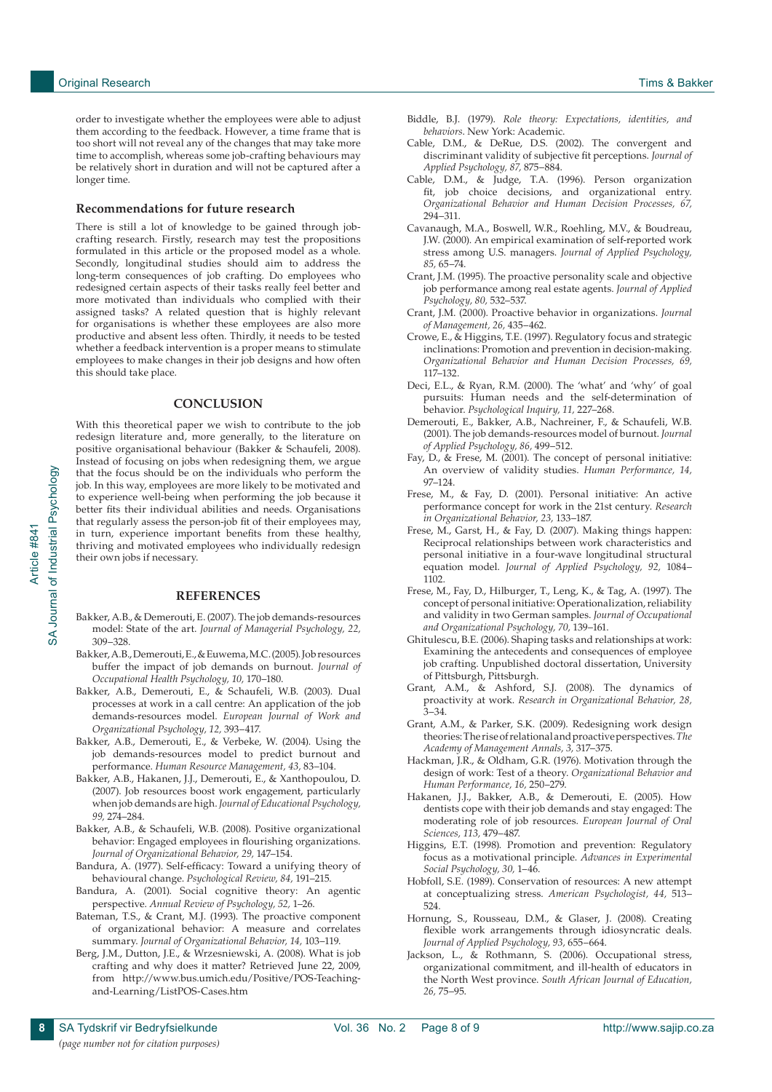order to investigate whether the employees were able to adjust them according to the feedback. However, a time frame that is too short will not reveal any of the changes that may take more time to accomplish, whereas some job-crafting behaviours may be relatively short in duration and will not be captured after a longer time.

### **Recommendations for future research**

There is still a lot of knowledge to be gained through jobcrafting research. Firstly, research may test the propositions formulated in this article or the proposed model as a whole. Secondly, longitudinal studies should aim to address the long-term consequences of job crafting. Do employees who redesigned certain aspects of their tasks really feel better and more motivated than individuals who complied with their assigned tasks? A related question that is highly relevant for organisations is whether these employees are also more productive and absent less often. Thirdly, it needs to be tested whether a feedback intervention is a proper means to stimulate employees to make changes in their job designs and how often this should take place.

# **CONCLUSION**

With this theoretical paper we wish to contribute to the job redesign literature and, more generally, to the literature on positive organisational behaviour (Bakker & Schaufeli, 2008). Instead of focusing on jobs when redesigning them, we argue that the focus should be on the individuals who perform the job. In this way, employees are more likely to be motivated and to experience well-being when performing the job because it better fits their individual abilities and needs. Organisations that regularly assess the person-job fit of their employees may, in turn, experience important benefits from these healthy, thriving and motivated employees who individually redesign their own jobs if necessary.

# **REFERENCES**

- Bakker, A.B., & Demerouti, E. (2007). The job demands-resources model: State of the art. *Journal of Managerial Psychology, 22,*  309–328.
- Bakker, A.B., Demerouti, E., & Euwema, M.C. (2005). Job resources buffer the impact of job demands on burnout. *Journal of Occupational Health Psychology, 10,* 170–180.
- Bakker, A.B., Demerouti, E., & Schaufeli, W.B. (2003). Dual processes at work in a call centre: An application of the job demands-resources model. *European Journal of Work and Organizational Psychology, 12,* 393–417.
- Bakker, A.B., Demerouti, E., & Verbeke, W. (2004). Using the job demands-resources model to predict burnout and performance. *Human Resource Management, 43,* 83–104.
- Bakker, A.B., Hakanen, J.J., Demerouti, E., & Xanthopoulou, D. (2007). Job resources boost work engagement, particularly when job demands are high. *Journal of Educational Psychology, 99,* 274–284.
- Bakker, A.B., & Schaufeli, W.B. (2008). Positive organizational behavior: Engaged employees in flourishing organizations. *Journal of Organizational Behavior, 29,* 147–154.
- Bandura, A. (1977). Self-efficacy: Toward a unifying theory of behavioural change. *Psychological Review, 84,* 191–215.
- Bandura, A. (2001). Social cognitive theory: An agentic perspective. *Annual Review of Psychology, 52,* 1–26.
- Bateman, T.S., & Crant, M.J. (1993). The proactive component of organizational behavior: A measure and correlates summary. *Journal of Organizational Behavior, 14,* 103–119.
- Berg, J.M., Dutton, J.E., & Wrzesniewski, A. (2008). What is job crafting and why does it matter? Retrieved June 22, 2009, from http://www.bus.umich.edu/Positive/POS-Teachingand-Learning/ListPOS-Cases.htm
- Biddle, B.J. (1979). *Role theory: Expectations, identities, and behaviors*. New York: Academic.
- Cable, D.M., & DeRue, D.S. (2002). The convergent and discriminant validity of subjective ft perceptions. *Journal of Applied Psychology, 87,* 875–884.
- Cable, D.M., & Judge, T.A. (1996). Person organization ft, job choice decisions, and organizational entry. *Organizational Behavior and Human Decision Processes, 67,*  294–311.
- Cavanaugh, M.A., Boswell, W.R., Roehling, M.V., & Boudreau, J.W. (2000). An empirical examination of self-reported work stress among U.S. managers. *Journal of Applied Psychology, 85,* 65–74.
- Crant, J.M. (1995). The proactive personality scale and objective job performance among real estate agents. *Journal of Applied Psychology, 80,* 532–537.
- Crant, J.M. (2000). Proactive behavior in organizations. *Journal of Management, 26,* 435–462.
- Crowe, E., & Higgins, T.E. (1997). Regulatory focus and strategic inclinations: Promotion and prevention in decision-making. *Organizational Behavior and Human Decision Processes, 69,*  117–132.
- Deci, E.L., & Ryan, R.M. (2000). The 'what' and 'why' of goal pursuits: Human needs and the self-determination of behavior. *Psychological Inquiry, 11,* 227–268.
- Demerouti, E., Bakker, A.B., Nachreiner, F., & Schaufeli, W.B. (2001). The job demands-resources model of burnout. *Journal of Applied Psychology, 86,* 499–512.
- Fay, D., & Frese, M. (2001). The concept of personal initiative: An overview of validity studies. *Human Performance, 14,*  97–124.
- Frese, M., & Fay, D. (2001). Personal initiative: An active performance concept for work in the 21st century. *Research in Organizational Behavior, 23,* 133–187.
- Frese, M., Garst, H., & Fay, D. (2007). Making things happen: Reciprocal relationships between work characteristics and personal initiative in a four-wave longitudinal structural equation model. *Journal of Applied Psychology, 92,* 1084– 1102.
- Frese, M., Fay, D., Hilburger, T., Leng, K., & Tag, A. (1997). The concept of personal initiative: Operationalization, reliability and validity in two German samples. *Journal of Occupational and Organizational Psychology, 70,* 139–161.
- Ghitulescu, B.E. (2006). Shaping tasks and relationships at work: Examining the antecedents and consequences of employee job crafting. Unpublished doctoral dissertation, University of Pittsburgh, Pittsburgh.
- Grant, A.M., & Ashford, S.J. (2008). The dynamics of proactivity at work. *Research in Organizational Behavior, 28,*  3–34.
- Grant, A.M., & Parker, S.K. (2009). Redesigning work design theories: The rise of relational and proactive perspectives. *The Academy of Management Annals, 3,* 317–375.
- Hackman, J.R., & Oldham, G.R. (1976). Motivation through the design of work: Test of a theory. *Organizational Behavior and Human Performance, 16,* 250–279.
- Hakanen, J.J., Bakker, A.B., & Demerouti, E. (2005). How dentists cope with their job demands and stay engaged: The moderating role of job resources. *European Journal of Oral Sciences, 113,* 479–487.
- Higgins, E.T. (1998). Promotion and prevention: Regulatory focus as a motivational principle. *Advances in Experimental Social Psychology, 30,* 1–46.
- Hobfoll, S.E. (1989). Conservation of resources: A new attempt at conceptualizing stress. *American Psychologist, 44,* 513– 524.
- Hornung, S., Rousseau, D.M., & Glaser, J. (2008). Creating fexible work arrangements through idiosyncratic deals. *Journal of Applied Psychology, 93,* 655–664.
- Jackson, L., & Rothmann, S. (2006). Occupational stress, organizational commitment, and ill-health of educators in the North West province. *South African Journal of Education, 26,* 75–95.